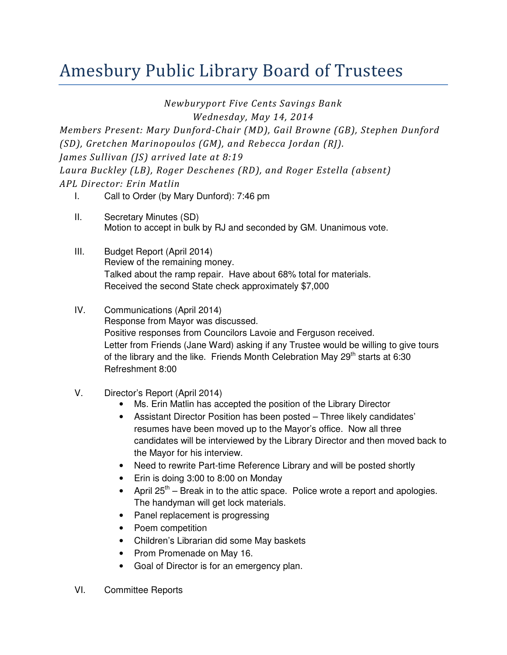## Amesbury Public Library Board of Trustees

Newburyport Five Cents Savings Bank

Wednesday, May 14, 2014

Members Present: Mary Dunford-Chair (MD), Gail Browne (GB), Stephen Dunford (SD), Gretchen Marinopoulos (GM), and Rebecca Jordan (RJ). James Sullivan (JS) arrived late at 8:19 Laura Buckley (LB), Roger Deschenes (RD), and Roger Estella (absent) APL Director: Erin Matlin

- I. Call to Order (by Mary Dunford): 7:46 pm
- II. Secretary Minutes (SD) Motion to accept in bulk by RJ and seconded by GM. Unanimous vote.
- III. Budget Report (April 2014) Review of the remaining money. Talked about the ramp repair. Have about 68% total for materials. Received the second State check approximately \$7,000
- IV. Communications (April 2014) Response from Mayor was discussed. Positive responses from Councilors Lavoie and Ferguson received. Letter from Friends (Jane Ward) asking if any Trustee would be willing to give tours of the library and the like. Friends Month Celebration May  $29<sup>th</sup>$  starts at 6:30 Refreshment 8:00
- V. Director's Report (April 2014)
	- Ms. Erin Matlin has accepted the position of the Library Director
	- Assistant Director Position has been posted Three likely candidates' resumes have been moved up to the Mayor's office. Now all three candidates will be interviewed by the Library Director and then moved back to the Mayor for his interview.
	- Need to rewrite Part-time Reference Library and will be posted shortly
	- Erin is doing 3:00 to 8:00 on Monday
	- April  $25<sup>th</sup>$  Break in to the attic space. Police wrote a report and apologies. The handyman will get lock materials.
	- Panel replacement is progressing
	- Poem competition
	- Children's Librarian did some May baskets
	- Prom Promenade on May 16.
	- Goal of Director is for an emergency plan.
- VI. Committee Reports